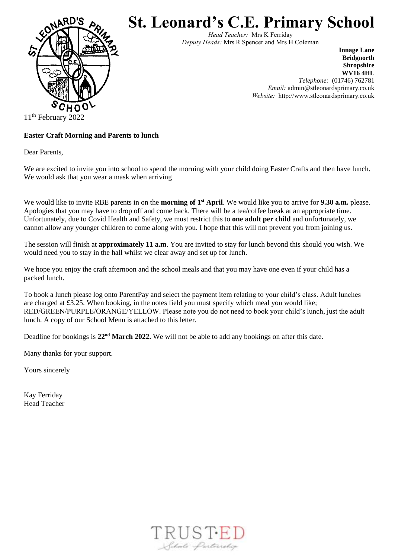

## **St. Leonard's C.E. Primary School**

*Head Teacher:* Mrs K Ferriday *Deputy Heads:* Mrs R Spencer and Mrs H Coleman

> **Innage Lane Bridgnorth Shropshire WV16 4HL** *Telephone:* (01746) 762781 *Email:* admin@stleonardsprimary.co.uk *Website:* http://www.stleonardsprimary.co.uk

11<sup>th</sup> February 2022

## **Easter Craft Morning and Parents to lunch**

Dear Parents,

We are excited to invite you into school to spend the morning with your child doing Easter Crafts and then have lunch. We would ask that you wear a mask when arriving

We would like to invite RBE parents in on the **morning of 1**<sup>st</sup> April. We would like you to arrive for 9.30 a.m. please. Apologies that you may have to drop off and come back. There will be a tea/coffee break at an appropriate time. Unfortunately, due to Covid Health and Safety, we must restrict this to **one adult per child** and unfortunately, we cannot allow any younger children to come along with you. I hope that this will not prevent you from joining us.

The session will finish at **approximately 11 a.m**. You are invited to stay for lunch beyond this should you wish. We would need you to stay in the hall whilst we clear away and set up for lunch.

We hope you enjoy the craft afternoon and the school meals and that you may have one even if your child has a packed lunch.

To book a lunch please log onto ParentPay and select the payment item relating to your child's class. Adult lunches are charged at £3.25. When booking, in the notes field you must specify which meal you would like; RED/GREEN/PURPLE/ORANGE/YELLOW. Please note you do not need to book your child's lunch, just the adult lunch. A copy of our School Menu is attached to this letter.

Deadline for bookings is 22<sup>nd</sup> March 2022. We will not be able to add any bookings on after this date.

Many thanks for your support.

Yours sincerely

Kay Ferriday Head Teacher